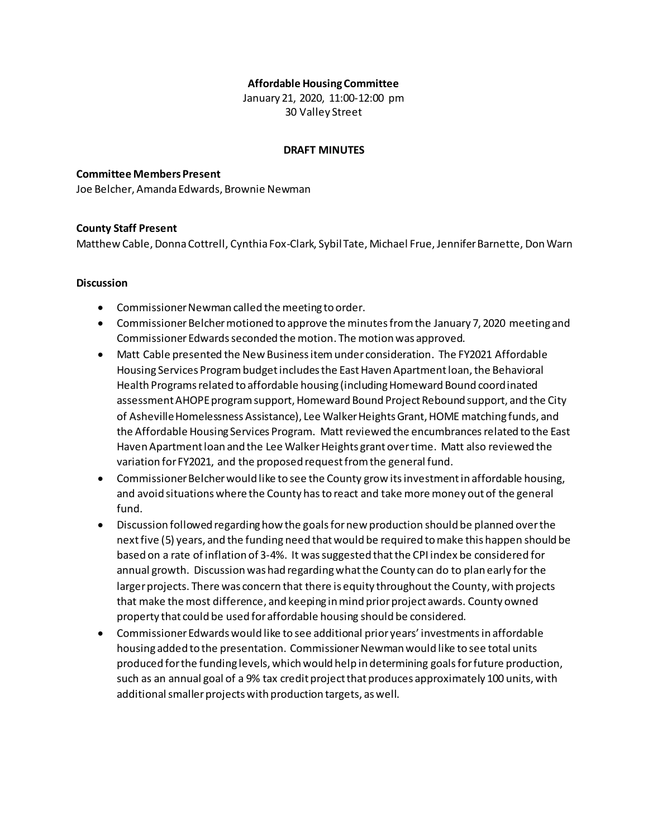### **Affordable Housing Committee**

January 21, 2020, 11:00-12:00 pm 30 Valley Street

#### **DRAFT MINUTES**

# **Committee Members Present**

Joe Belcher, Amanda Edwards, Brownie Newman

# **County Staff Present**

Matthew Cable, Donna Cottrell, Cynthia Fox-Clark, Sybil Tate, Michael Frue, Jennifer Barnette, Don Warn

### **Discussion**

- Commissioner Newman called the meeting to order.
- Commissioner Belcher motioned to approve the minutes from the January 7, 2020 meeting and Commissioner Edwards seconded the motion. The motion was approved.
- Matt Cable presented the New Business itemunder consideration. The FY2021 Affordable Housing Services Program budget includes the East Haven Apartment loan, the Behavioral Health Programs related to affordable housing (including Homeward Bound coordinated assessment AHOPE program support, Homeward Bound Project Rebound support, and the City of Asheville Homelessness Assistance), Lee Walker Heights Grant, HOME matching funds, and the Affordable Housing Services Program. Matt reviewed the encumbrancesrelated to the East Haven Apartment loan and the Lee Walker Heights grant over time. Matt also reviewed the variation for FY2021, and the proposed request from the general fund.
- Commissioner Belcher would like to see the County grow its investment in affordable housing, and avoid situations where the County has to react and take more money out of the general fund.
- Discussion followed regarding how the goals for new production should be planned over the next five (5) years, and the funding need thatwould be required to make this happen should be based on a rate of inflation of 3-4%. It was suggested that the CPI index be considered for annual growth. Discussion was had regarding what the County can do to plan early for the larger projects. There was concern that there is equity throughout the County, with projects that make the most difference, and keeping in mind prior project awards. County owned property that could be used for affordable housing should be considered.
- Commissioner Edwards would like to see additional prior years' investmentsin affordable housing added to the presentation. Commissioner Newman would like to see total units produced for the funding levels, which would help in determining goals for future production, such as an annual goal of a 9% tax credit project that produces approximately 100 units, with additional smaller projects with production targets, as well.